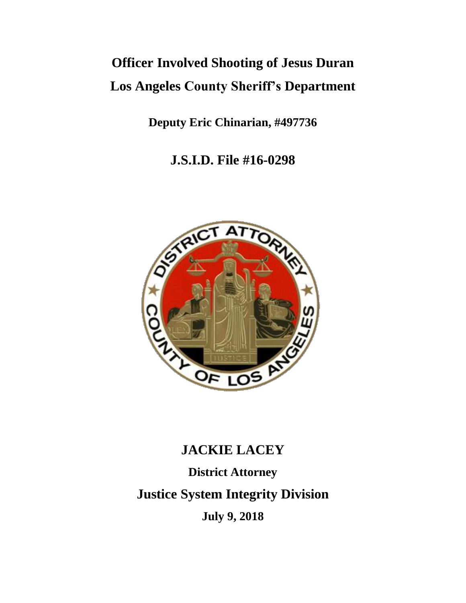# **Officer Involved Shooting of Jesus Duran Los Angeles County Sheriff's Department**

**Deputy Eric Chinarian, #497736**

**J.S.I.D. File #16-0298**



## **JACKIE LACEY**

**District Attorney Justice System Integrity Division July 9, 2018**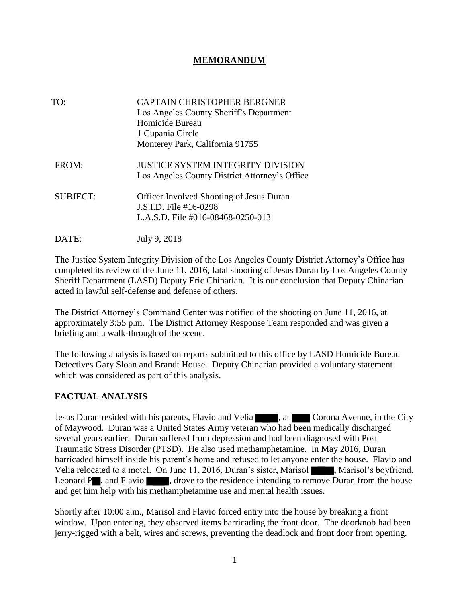#### **MEMORANDUM**

| TO:             | <b>CAPTAIN CHRISTOPHER BERGNER</b><br>Los Angeles County Sheriff's Department<br>Homicide Bureau<br>1 Cupania Circle<br>Monterey Park, California 91755 |
|-----------------|---------------------------------------------------------------------------------------------------------------------------------------------------------|
| FROM:           | <b>JUSTICE SYSTEM INTEGRITY DIVISION</b><br>Los Angeles County District Attorney's Office                                                               |
| <b>SUBJECT:</b> | <b>Officer Involved Shooting of Jesus Duran</b><br>J.S.I.D. File #16-0298<br>L.A.S.D. File #016-08468-0250-013                                          |
| DATE:           | July 9, 2018                                                                                                                                            |

The Justice System Integrity Division of the Los Angeles County District Attorney's Office has completed its review of the June 11, 2016, fatal shooting of Jesus Duran by Los Angeles County Sheriff Department (LASD) Deputy Eric Chinarian. It is our conclusion that Deputy Chinarian acted in lawful self-defense and defense of others.

The District Attorney's Command Center was notified of the shooting on June 11, 2016, at approximately 3:55 p.m. The District Attorney Response Team responded and was given a briefing and a walk-through of the scene.

The following analysis is based on reports submitted to this office by LASD Homicide Bureau Detectives Gary Sloan and Brandt House. Deputy Chinarian provided a voluntary statement which was considered as part of this analysis.

#### **FACTUAL ANALYSIS**

Jesus Duran resided with his parents, Flavio and Velia , at Corona Avenue, in the City of Maywood. Duran was a United States Army veteran who had been medically discharged several years earlier. Duran suffered from depression and had been diagnosed with Post Traumatic Stress Disorder (PTSD). He also used methamphetamine. In May 2016, Duran barricaded himself inside his parent's home and refused to let anyone enter the house. Flavio and Velia relocated to a motel. On June 11, 2016, Duran's sister, Marisol **Marisol**, Marisol's boyfriend, Leonard P , and Flavio , drove to the residence intending to remove Duran from the house and get him help with his methamphetamine use and mental health issues.

Shortly after 10:00 a.m., Marisol and Flavio forced entry into the house by breaking a front window. Upon entering, they observed items barricading the front door. The doorknob had been jerry-rigged with a belt, wires and screws, preventing the deadlock and front door from opening.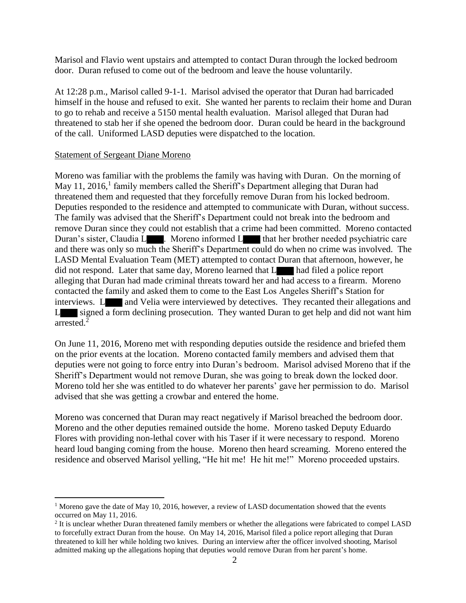Marisol and Flavio went upstairs and attempted to contact Duran through the locked bedroom door. Duran refused to come out of the bedroom and leave the house voluntarily.

At 12:28 p.m., Marisol called 9-1-1. Marisol advised the operator that Duran had barricaded himself in the house and refused to exit. She wanted her parents to reclaim their home and Duran to go to rehab and receive a 5150 mental health evaluation. Marisol alleged that Duran had threatened to stab her if she opened the bedroom door. Duran could be heard in the background of the call. Uniformed LASD deputies were dispatched to the location.

#### Statement of Sergeant Diane Moreno

 $\overline{a}$ 

Moreno was familiar with the problems the family was having with Duran. On the morning of May 11, 2016, $<sup>1</sup>$  family members called the Sheriff's Department alleging that Duran had</sup> threatened them and requested that they forcefully remove Duran from his locked bedroom. Deputies responded to the residence and attempted to communicate with Duran, without success. The family was advised that the Sheriff's Department could not break into the bedroom and remove Duran since they could not establish that a crime had been committed. Moreno contacted Duran's sister, Claudia L . Moreno informed L that her brother needed psychiatric care and there was only so much the Sheriff's Department could do when no crime was involved. The LASD Mental Evaluation Team (MET) attempted to contact Duran that afternoon, however, he did not respond. Later that same day, Moreno learned that L had filed a police report alleging that Duran had made criminal threats toward her and had access to a firearm. Moreno contacted the family and asked them to come to the East Los Angeles Sheriff's Station for interviews. Let and Velia were interviewed by detectives. They recanted their allegations and L signed a form declining prosecution. They wanted Duran to get help and did not want him arrested. 2

On June 11, 2016, Moreno met with responding deputies outside the residence and briefed them on the prior events at the location. Moreno contacted family members and advised them that deputies were not going to force entry into Duran's bedroom. Marisol advised Moreno that if the Sheriff's Department would not remove Duran, she was going to break down the locked door. Moreno told her she was entitled to do whatever her parents' gave her permission to do. Marisol advised that she was getting a crowbar and entered the home.

Moreno was concerned that Duran may react negatively if Marisol breached the bedroom door. Moreno and the other deputies remained outside the home. Moreno tasked Deputy Eduardo Flores with providing non-lethal cover with his Taser if it were necessary to respond. Moreno heard loud banging coming from the house. Moreno then heard screaming. Moreno entered the residence and observed Marisol yelling, "He hit me! He hit me!" Moreno proceeded upstairs.

<sup>&</sup>lt;sup>1</sup> Moreno gave the date of May 10, 2016, however, a review of LASD documentation showed that the events occurred on May 11, 2016.

 $2$  It is unclear whether Duran threatened family members or whether the allegations were fabricated to compel LASD to forcefully extract Duran from the house. On May 14, 2016, Marisol filed a police report alleging that Duran threatened to kill her while holding two knives. During an interview after the officer involved shooting, Marisol admitted making up the allegations hoping that deputies would remove Duran from her parent's home.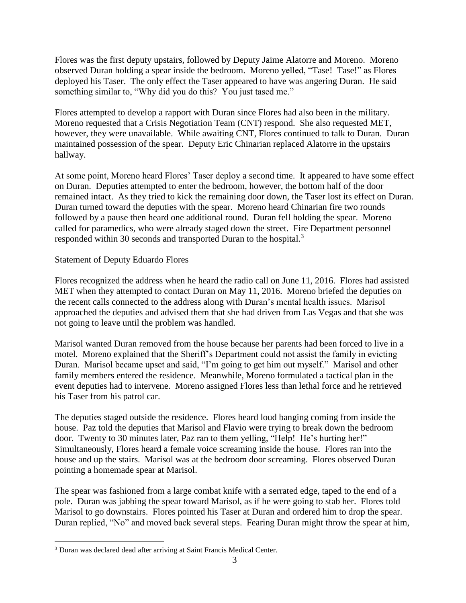Flores was the first deputy upstairs, followed by Deputy Jaime Alatorre and Moreno. Moreno observed Duran holding a spear inside the bedroom. Moreno yelled, "Tase! Tase!" as Flores deployed his Taser. The only effect the Taser appeared to have was angering Duran. He said something similar to, "Why did you do this? You just tased me."

Flores attempted to develop a rapport with Duran since Flores had also been in the military. Moreno requested that a Crisis Negotiation Team (CNT) respond. She also requested MET, however, they were unavailable. While awaiting CNT, Flores continued to talk to Duran. Duran maintained possession of the spear. Deputy Eric Chinarian replaced Alatorre in the upstairs hallway.

At some point, Moreno heard Flores' Taser deploy a second time. It appeared to have some effect on Duran. Deputies attempted to enter the bedroom, however, the bottom half of the door remained intact. As they tried to kick the remaining door down, the Taser lost its effect on Duran. Duran turned toward the deputies with the spear. Moreno heard Chinarian fire two rounds followed by a pause then heard one additional round. Duran fell holding the spear. Moreno called for paramedics, who were already staged down the street. Fire Department personnel responded within 30 seconds and transported Duran to the hospital.<sup>3</sup>

#### Statement of Deputy Eduardo Flores

Flores recognized the address when he heard the radio call on June 11, 2016. Flores had assisted MET when they attempted to contact Duran on May 11, 2016. Moreno briefed the deputies on the recent calls connected to the address along with Duran's mental health issues. Marisol approached the deputies and advised them that she had driven from Las Vegas and that she was not going to leave until the problem was handled.

Marisol wanted Duran removed from the house because her parents had been forced to live in a motel. Moreno explained that the Sheriff's Department could not assist the family in evicting Duran. Marisol became upset and said, "I'm going to get him out myself." Marisol and other family members entered the residence. Meanwhile, Moreno formulated a tactical plan in the event deputies had to intervene. Moreno assigned Flores less than lethal force and he retrieved his Taser from his patrol car.

The deputies staged outside the residence. Flores heard loud banging coming from inside the house. Paz told the deputies that Marisol and Flavio were trying to break down the bedroom door. Twenty to 30 minutes later, Paz ran to them yelling, "Help! He's hurting her!" Simultaneously, Flores heard a female voice screaming inside the house. Flores ran into the house and up the stairs. Marisol was at the bedroom door screaming. Flores observed Duran pointing a homemade spear at Marisol.

The spear was fashioned from a large combat knife with a serrated edge, taped to the end of a pole. Duran was jabbing the spear toward Marisol, as if he were going to stab her. Flores told Marisol to go downstairs. Flores pointed his Taser at Duran and ordered him to drop the spear. Duran replied, "No" and moved back several steps. Fearing Duran might throw the spear at him,

 $\overline{a}$ 

<sup>&</sup>lt;sup>3</sup> Duran was declared dead after arriving at Saint Francis Medical Center.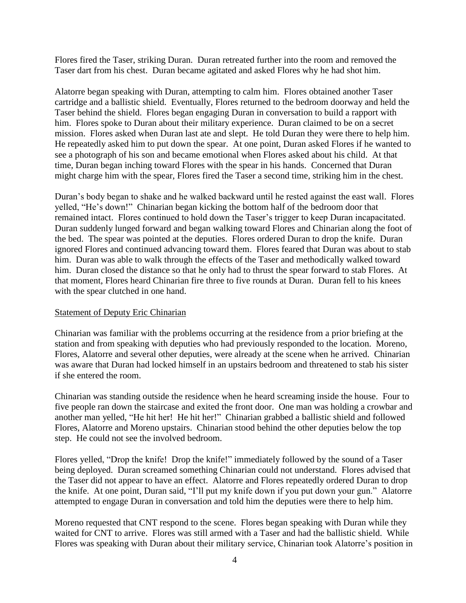Flores fired the Taser, striking Duran. Duran retreated further into the room and removed the Taser dart from his chest. Duran became agitated and asked Flores why he had shot him.

Alatorre began speaking with Duran, attempting to calm him. Flores obtained another Taser cartridge and a ballistic shield. Eventually, Flores returned to the bedroom doorway and held the Taser behind the shield. Flores began engaging Duran in conversation to build a rapport with him. Flores spoke to Duran about their military experience. Duran claimed to be on a secret mission. Flores asked when Duran last ate and slept. He told Duran they were there to help him. He repeatedly asked him to put down the spear. At one point, Duran asked Flores if he wanted to see a photograph of his son and became emotional when Flores asked about his child. At that time, Duran began inching toward Flores with the spear in his hands. Concerned that Duran might charge him with the spear, Flores fired the Taser a second time, striking him in the chest.

Duran's body began to shake and he walked backward until he rested against the east wall. Flores yelled, "He's down!" Chinarian began kicking the bottom half of the bedroom door that remained intact. Flores continued to hold down the Taser's trigger to keep Duran incapacitated. Duran suddenly lunged forward and began walking toward Flores and Chinarian along the foot of the bed. The spear was pointed at the deputies. Flores ordered Duran to drop the knife. Duran ignored Flores and continued advancing toward them. Flores feared that Duran was about to stab him. Duran was able to walk through the effects of the Taser and methodically walked toward him. Duran closed the distance so that he only had to thrust the spear forward to stab Flores. At that moment, Flores heard Chinarian fire three to five rounds at Duran. Duran fell to his knees with the spear clutched in one hand.

#### Statement of Deputy Eric Chinarian

Chinarian was familiar with the problems occurring at the residence from a prior briefing at the station and from speaking with deputies who had previously responded to the location. Moreno, Flores, Alatorre and several other deputies, were already at the scene when he arrived. Chinarian was aware that Duran had locked himself in an upstairs bedroom and threatened to stab his sister if she entered the room.

Chinarian was standing outside the residence when he heard screaming inside the house. Four to five people ran down the staircase and exited the front door. One man was holding a crowbar and another man yelled, "He hit her! He hit her!" Chinarian grabbed a ballistic shield and followed Flores, Alatorre and Moreno upstairs. Chinarian stood behind the other deputies below the top step. He could not see the involved bedroom.

Flores yelled, "Drop the knife! Drop the knife!" immediately followed by the sound of a Taser being deployed. Duran screamed something Chinarian could not understand. Flores advised that the Taser did not appear to have an effect. Alatorre and Flores repeatedly ordered Duran to drop the knife. At one point, Duran said, "I'll put my knife down if you put down your gun." Alatorre attempted to engage Duran in conversation and told him the deputies were there to help him.

Moreno requested that CNT respond to the scene. Flores began speaking with Duran while they waited for CNT to arrive. Flores was still armed with a Taser and had the ballistic shield. While Flores was speaking with Duran about their military service, Chinarian took Alatorre's position in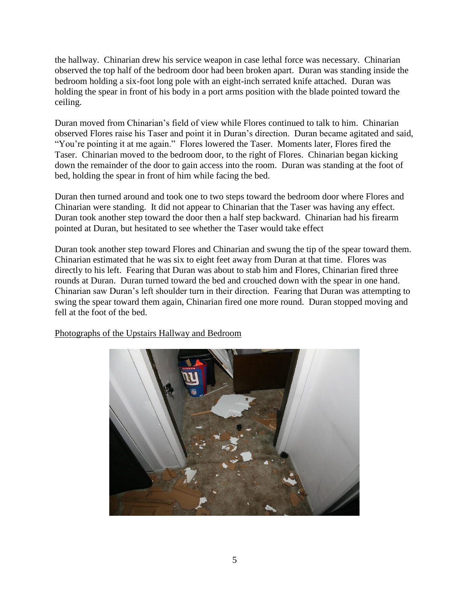the hallway. Chinarian drew his service weapon in case lethal force was necessary. Chinarian observed the top half of the bedroom door had been broken apart. Duran was standing inside the bedroom holding a six-foot long pole with an eight-inch serrated knife attached. Duran was holding the spear in front of his body in a port arms position with the blade pointed toward the ceiling.

Duran moved from Chinarian's field of view while Flores continued to talk to him. Chinarian observed Flores raise his Taser and point it in Duran's direction. Duran became agitated and said, "You're pointing it at me again." Flores lowered the Taser. Moments later, Flores fired the Taser. Chinarian moved to the bedroom door, to the right of Flores. Chinarian began kicking down the remainder of the door to gain access into the room. Duran was standing at the foot of bed, holding the spear in front of him while facing the bed.

Duran then turned around and took one to two steps toward the bedroom door where Flores and Chinarian were standing. It did not appear to Chinarian that the Taser was having any effect. Duran took another step toward the door then a half step backward. Chinarian had his firearm pointed at Duran, but hesitated to see whether the Taser would take effect

Duran took another step toward Flores and Chinarian and swung the tip of the spear toward them. Chinarian estimated that he was six to eight feet away from Duran at that time. Flores was directly to his left. Fearing that Duran was about to stab him and Flores, Chinarian fired three rounds at Duran. Duran turned toward the bed and crouched down with the spear in one hand. Chinarian saw Duran's left shoulder turn in their direction. Fearing that Duran was attempting to swing the spear toward them again, Chinarian fired one more round. Duran stopped moving and fell at the foot of the bed.

Photographs of the Upstairs Hallway and Bedroom

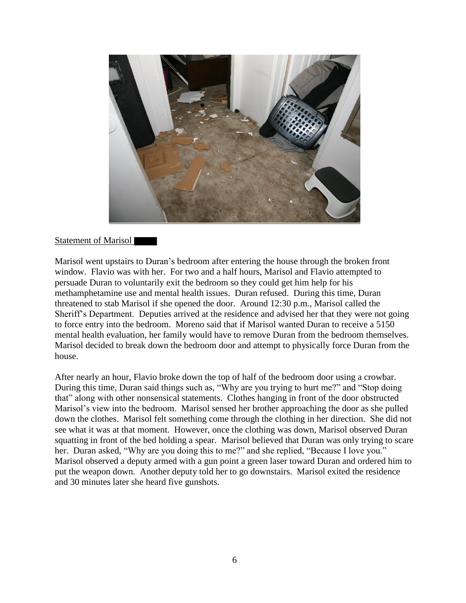

#### Statement of Marisol

Marisol went upstairs to Duran's bedroom after entering the house through the broken front window. Flavio was with her. For two and a half hours, Marisol and Flavio attempted to persuade Duran to voluntarily exit the bedroom so they could get him help for his methamphetamine use and mental health issues. Duran refused. During this time, Duran threatened to stab Marisol if she opened the door. Around 12:30 p.m., Marisol called the Sheriff's Department. Deputies arrived at the residence and advised her that they were not going to force entry into the bedroom. Moreno said that if Marisol wanted Duran to receive a 5150 mental health evaluation, her family would have to remove Duran from the bedroom themselves. Marisol decided to break down the bedroom door and attempt to physically force Duran from the house.

After nearly an hour, Flavio broke down the top of half of the bedroom door using a crowbar. During this time, Duran said things such as, "Why are you trying to hurt me?" and "Stop doing that" along with other nonsensical statements. Clothes hanging in front of the door obstructed Marisol's view into the bedroom. Marisol sensed her brother approaching the door as she pulled down the clothes. Marisol felt something come through the clothing in her direction. She did not see what it was at that moment. However, once the clothing was down, Marisol observed Duran squatting in front of the bed holding a spear. Marisol believed that Duran was only trying to scare her. Duran asked, "Why are you doing this to me?" and she replied, "Because I love you." Marisol observed a deputy armed with a gun point a green laser toward Duran and ordered him to put the weapon down. Another deputy told her to go downstairs. Marisol exited the residence and 30 minutes later she heard five gunshots.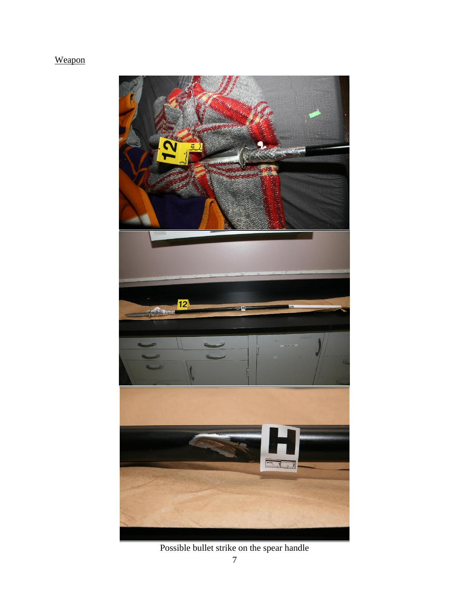### Weapon



Possible bullet strike on the spear handle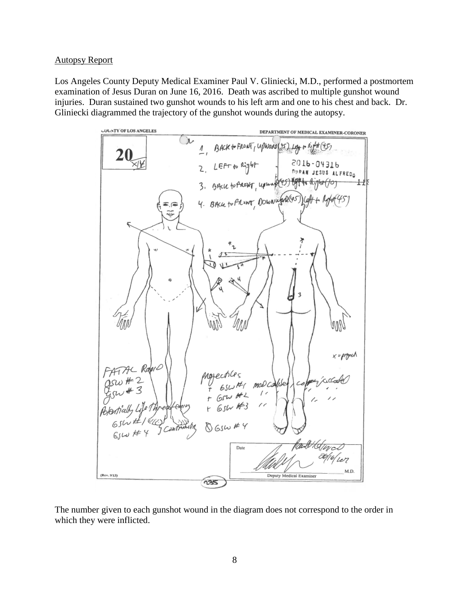#### Autopsy Report

Los Angeles County Deputy Medical Examiner Paul V. Gliniecki, M.D., performed a postmortem examination of Jesus Duran on June 16, 2016. Death was ascribed to multiple gunshot wound injuries. Duran sustained two gunshot wounds to his left arm and one to his chest and back. Dr. Gliniecki diagrammed the trajectory of the gunshot wounds during the autopsy.



The number given to each gunshot wound in the diagram does not correspond to the order in which they were inflicted.